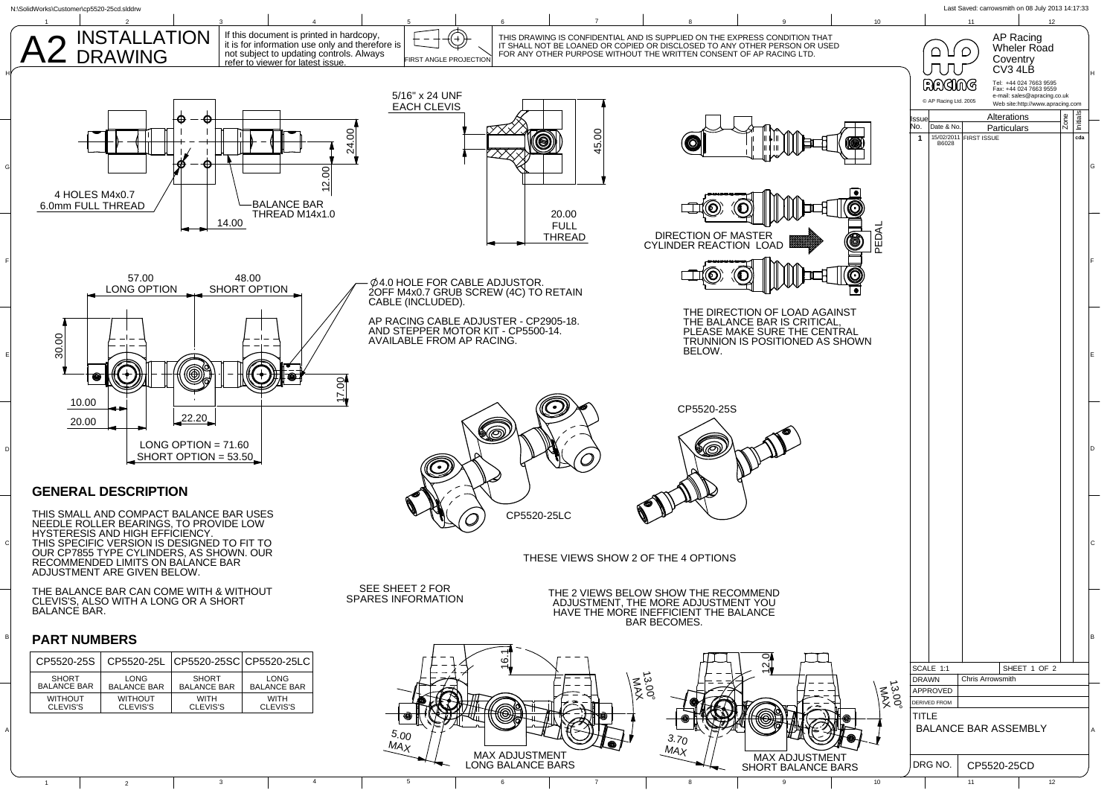